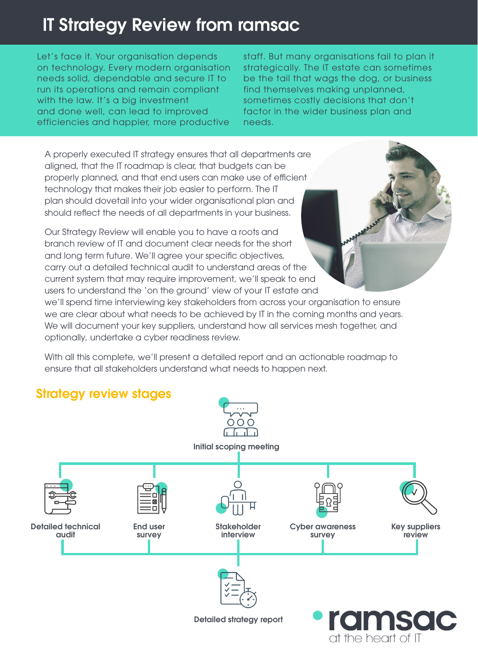# IT Strategy Review from ramsac

Let's face it. Your organisation depends on technology. Every modern organisation needs solid, dependable and secure IT to run its operations and remain compliant with the law. It's a big investment and done well, can lead to improved efficiencies and happier, more productive

staff. But many organisations fail to plan it strategically. The IT estate can sometimes be the tail that wags the dog, or business find themselves making unplanned, sometimes costly decisions that don't factor in the wider business plan and needs.

A properly executed IT strategy ensures that all departments are aligned, that the IT roadmap is clear, that budgets can be properly planned, and that end users can make use of efficient technology that makes their job easier to perform. The IT plan should dovetail into your wider organisational plan and should reflect the needs of all departments in your business.

Our Strategy Review will enable you to have a roots and branch review of IT and document clear needs for the short and long term future. We'll agree your specific objectives, carry out a detailed technical audit to understand areas of the current system that may require improvement, we'll speak to end



With all this complete, we'll present a detailed report and an actionable roadmap to ensure that all stakeholders understand what needs to happen next.